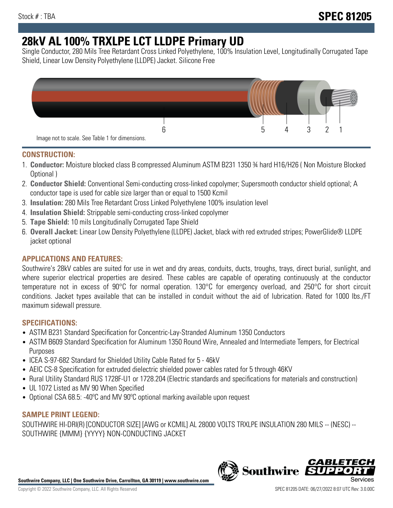# **28kV AL 100% TRXLPE LCT LLDPE Primary UD**

Single Conductor, 280 Mils Tree Retardant Cross Linked Polyethylene, 100% Insulation Level, Longitudinally Corrugated Tape Shield, Linear Low Density Polyethylene (LLDPE) Jacket. Silicone Free



## **CONSTRUCTION:**

- 1. **Conductor:** Moisture blocked class B compressed Aluminum ASTM B231 1350 ¾ hard H16/H26 ( Non Moisture Blocked Optional )
- 2. **Conductor Shield:** Conventional Semi-conducting cross-linked copolymer; Supersmooth conductor shield optional; A conductor tape is used for cable size larger than or equal to 1500 Kcmil
- 3. **Insulation:** 280 Mils Tree Retardant Cross Linked Polyethylene 100% insulation level
- 4. **Insulation Shield:** Strippable semi-conducting cross-linked copolymer
- 5. **Tape Shield:** 10 mils Longitudinally Corrugated Tape Shield
- 6. **Overall Jacket:** Linear Low Density Polyethylene (LLDPE) Jacket, black with red extruded stripes; PowerGlide® LLDPE jacket optional

# **APPLICATIONS AND FEATURES:**

Southwire's 28kV cables are suited for use in wet and dry areas, conduits, ducts, troughs, trays, direct burial, sunlight, and where superior electrical properties are desired. These cables are capable of operating continuously at the conductor temperature not in excess of 90°C for normal operation. 130°C for emergency overload, and 250°C for short circuit conditions. Jacket types available that can be installed in conduit without the aid of lubrication. Rated for 1000 lbs./FT maximum sidewall pressure.

# **SPECIFICATIONS:**

- ASTM B231 Standard Specification for Concentric-Lay-Stranded Aluminum 1350 Conductors
- ASTM B609 Standard Specification for Aluminum 1350 Round Wire, Annealed and Intermediate Tempers, for Electrical Purposes
- ICEA S-97-682 Standard for Shielded Utility Cable Rated for 5 46kV
- AEIC CS-8 Specification for extruded dielectric shielded power cables rated for 5 through 46KV
- Rural Utility Standard RUS 1728F-U1 or 1728.204 (Electric standards and specifications for materials and construction)
- UL 1072 Listed as MV 90 When Specified
- Optional CSA 68.5: -40ºC and MV 90ºC optional marking available upon request

### **SAMPLE PRINT LEGEND:**

SOUTHWIRE HI-DRI(R) [CONDUCTOR SIZE] [AWG or KCMIL] AL 28000 VOLTS TRXLPE INSULATION 280 MILS -- (NESC) -- SOUTHWIRE {MMM} {YYYY} NON-CONDUCTING JACKET

**Southwire Company, LLC | One Southwire Drive, Carrollton, GA 30119 | www.southwire.com**